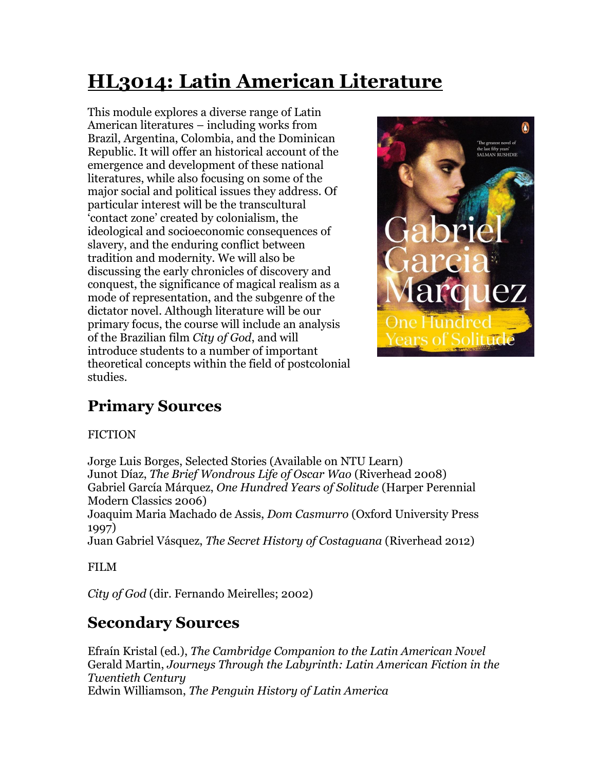# **HL3014: Latin American Literature**

This module explores a diverse range of Latin American literatures – including works from Brazil, Argentina, Colombia, and the Dominican Republic. It will offer an historical account of the emergence and development of these national literatures, while also focusing on some of the major social and political issues they address. Of particular interest will be the transcultural 'contact zone' created by colonialism, the ideological and socioeconomic consequences of slavery, and the enduring conflict between tradition and modernity. We will also be discussing the early chronicles of discovery and conquest, the significance of magical realism as a mode of representation, and the subgenre of the dictator novel. Although literature will be our primary focus, the course will include an analysis of the Brazilian film *City of God*, and will introduce students to a number of important theoretical concepts within the field of postcolonial studies.



# **Primary Sources**

#### FICTION

Jorge Luis Borges, Selected Stories (Available on NTU Learn) Junot Díaz, *The Brief Wondrous Life of Oscar Wao* (Riverhead 2008) Gabriel García Márquez, *One Hundred Years of Solitude* (Harper Perennial Modern Classics 2006) Joaquim Maria Machado de Assis, *Dom Casmurro* (Oxford University Press 1997)

Juan Gabriel Vásquez, *The Secret History of Costaguana* (Riverhead 2012)

FILM

*City of God* (dir. Fernando Meirelles; 2002)

## **Secondary Sources**

Efraín Kristal (ed.), *The Cambridge Companion to the Latin American Novel* Gerald Martin, *Journeys Through the Labyrinth: Latin American Fiction in the Twentieth Century* Edwin Williamson, *The Penguin History of Latin America*